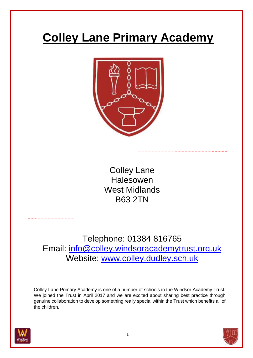# **Colley Lane Primary Academy**



Colley Lane Halesowen West Midlands B63 2TN

Telephone: 01384 816765 Email: info@colley.windsoracademytrust.org.uk Website: [www.colley.dudley.sch.uk](https://colley.dudley.sch.uk/)

Colley Lane Primary Academy is one of a number of schools in the Windsor Academy Trust. We joined the Trust in April 2017 and we are excited about sharing best practice through genuine collaboration to develop something really special within the Trust which benefits all of the children.



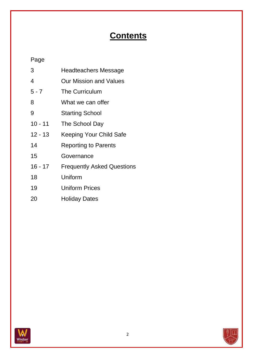# **Contents**

# Page

| 3         | <b>Headteachers Message</b>       |
|-----------|-----------------------------------|
| 4         | Our Mission and Values            |
| $5 - 7$   | The Curriculum                    |
| 8         | What we can offer                 |
| 9         | <b>Starting School</b>            |
| $10 - 11$ | The School Day                    |
| $12 - 13$ | <b>Keeping Your Child Safe</b>    |
| 14        | <b>Reporting to Parents</b>       |
| 15        | Governance                        |
| $16 - 17$ | <b>Frequently Asked Questions</b> |
| 18        | Uniform                           |
| 19        | <b>Uniform Prices</b>             |
| 20        | <b>Holiday Dates</b>              |



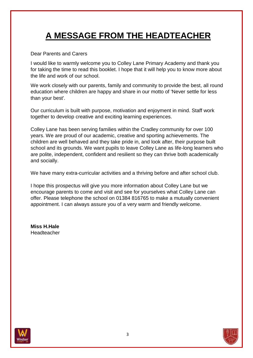# **A MESSAGE FROM THE HEADTEACHER**

Dear Parents and Carers

I would like to warmly welcome you to Colley Lane Primary Academy and thank you for taking the time to read this booklet. I hope that it will help you to know more about the life and work of our school.

We work closely with our parents, family and community to provide the best, all round education where children are happy and share in our motto of 'Never settle for less than your best'.

Our curriculum is built with purpose, motivation and enjoyment in mind. Staff work together to develop creative and exciting learning experiences.

Colley Lane has been serving families within the Cradley community for over 100 years. We are proud of our academic, creative and sporting achievements. The children are well behaved and they take pride in, and look after, their purpose built school and its grounds. We want pupils to leave Colley Lane as life-long learners who are polite, independent, confident and resilient so they can thrive both academically and socially.

We have many extra-curricular activities and a thriving before and after school club.

I hope this prospectus will give you more information about Colley Lane but we encourage parents to come and visit and see for yourselves what Colley Lane can offer. Please telephone the school on 01384 816765 to make a mutually convenient appointment. I can always assure you of a very warm and friendly welcome.

**Miss H.Hale Headteacher** 



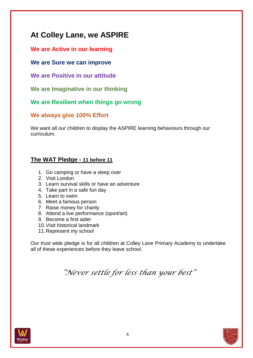# **At Colley Lane, we ASPIRE**

#### **We are Active in our learning**

#### **We are Sure we can improve**

**We are Positive in our attitude**

**We are Imaginative in our thinking**

#### **We are Resilient when things go wrong**

#### **We always give 100% Effort**

We want all our children to display the ASPIRE learning behaviours through our curriculum.

### **The WAT Pledge - 11 before 11**

- 1. Go camping or have a sleep over
- 2. Visit London
- 3. Learn survival skills or have an adventure
- 4. Take part in a safe fun day
- 5. Learn to swim
- 6. Meet a famous person
- 7. Raise money for charity
- 8. Attend a live performance (sport/art)
- 9. Become a first aider
- 10.Visit historical landmark
- 11.Represent my school

Our trust wide pledge is for all children at Colley Lane Primary Academy to undertake all of these experiences before they leave school.

*"Never settle for less than your best"*

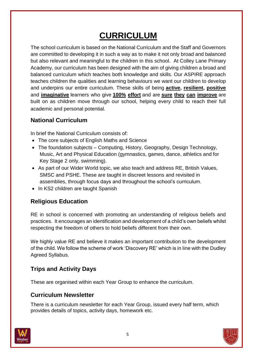# **CURRICULUM**

The school curriculum is based on the National Curriculum and the Staff and Governors are committed to developing it in such a way as to make it not only broad and balanced but also relevant and meaningful to the children in this school. At Colley Lane Primary Academy, our curriculum has been designed with the aim of giving children a broad and balanced curriculum which teaches both knowledge and skills. Our ASPIRE approach teaches children the qualities and learning behaviours we want our children to develop and underpins our entire curriculum. These skills of being **active, resilient, positive** and **imaginative** learners who give **100% effort** and are **sure they can improve** are built on as children move through our school, helping every child to reach their full academic and personal potential.

### **National Curriculum**

In brief the National Curriculum consists of:

- The core subjects of English Maths and Science
- The foundation subjects Computing, History, Geography, Design Technology, Music, Art and Physical Education (gymnastics, games, dance, athletics and for Key Stage 2 only, swimming).
- As part of our Wider World topic, we also teach and address RE, British Values, SMSC and PSHE. These are taught in discreet lessons and revisited in assemblies, through focus days and throughout the school's curriculum.
- In KS2 children are taught Spanish

# **Religious Education**

RE in school is concerned with promoting an understanding of religious beliefs and practices. It encourages an identification and development of a child's own beliefs whilst respecting the freedom of others to hold beliefs different from their own.

We highly value RE and believe it makes an important contribution to the development of the child. We follow the scheme of work 'Discovery RE' which is in line with the Dudley Agreed Syllabus.

# **Trips and Activity Days**

These are organised within each Year Group to enhance the curriculum.

### **Curriculum Newsletter**

There is a curriculum newsletter for each Year Group, issued every half term, which provides details of topics, activity days, homework etc.



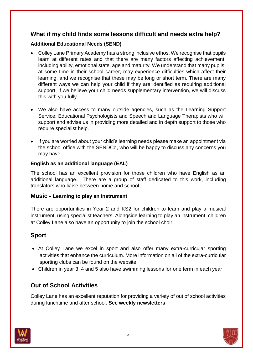#### **What if my child finds some lessons difficult and needs extra help?**

#### **Additional Educational Needs (SEND)**

- Colley Lane Primary Academy has a strong inclusive ethos. We recognise that pupils learn at different rates and that there are many factors affecting achievement, including ability, emotional state, age and maturity. We understand that many pupils, at some time in their school career, may experience difficulties which affect their learning, and we recognise that these may be long or short term. There are many different ways we can help your child if they are identified as requiring additional support. If we believe your child needs supplementary intervention, we will discuss this with you fully.
- We also have access to many outside agencies, such as the Learning Support Service, Educational Psychologists and Speech and Language Therapists who will support and advise us in providing more detailed and in depth support to those who require specialist help.
- If you are worried about your child's learning needs please make an appointment via the school office with the SENDCo, who will be happy to discuss any concerns you may have.

#### **English as an additional language (EAL)**

The school has an excellent provision for those children who have English as an additional language. There are a group of staff dedicated to this work, including translators who liaise between home and school.

#### **Music - Learning to play an instrument**

There are opportunities in Year 2 and KS2 for children to learn and play a musical instrument, using specialist teachers. Alongside learning to play an instrument, children at Colley Lane also have an opportunity to join the school choir.

#### **Sport**

- At Colley Lane we excel in sport and also offer many extra-curricular sporting activities that enhance the curriculum. More information on all of the extra-curricular sporting clubs can be found on the website.
- Children in year 3, 4 and 5 also have swimming lessons for one term in each year

### **Out of School Activities**

Colley Lane has an excellent reputation for providing a variety of out of school activities during lunchtime and after school. **See weekly newsletters**.



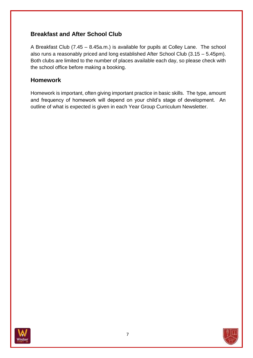### **Breakfast and After School Club**

A Breakfast Club (7.45 – 8.45a.m.) is available for pupils at Colley Lane. The school also runs a reasonably priced and long established After School Club (3.15 – 5.45pm). Both clubs are limited to the number of places available each day, so please check with the school office before making a booking.

#### **Homework**

Homework is important, often giving important practice in basic skills. The type, amount and frequency of homework will depend on your child's stage of development. An outline of what is expected is given in each Year Group Curriculum Newsletter.



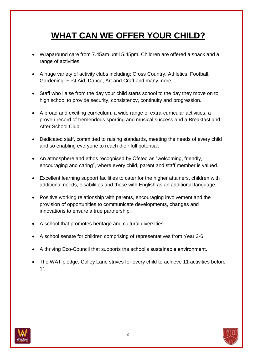# **WHAT CAN WE OFFER YOUR CHILD?**

- Wraparound care from 7.45am until 5.45pm. Children are offered a snack and a range of activities.
- A huge variety of activity clubs including: Cross Country, Athletics, Football, Gardening, First Aid, Dance, Art and Craft and many more.
- Staff who liaise from the day your child starts school to the day they move on to high school to provide security, consistency, continuity and progression.
- A broad and exciting curriculum, a wide range of extra-curricular activities, a proven record of tremendous sporting and musical success and a Breakfast and After School Club.
- Dedicated staff, committed to raising standards, meeting the needs of every child and so enabling everyone to reach their full potential.
- An atmosphere and ethos recognised by Ofsted as "welcoming, friendly, encouraging and caring", where every child, parent and staff member is valued.
- Excellent learning support facilities to cater for the higher attainers, children with additional needs, disabilities and those with English as an additional language.
- Positive working relationship with parents, encouraging involvement and the provision of opportunities to communicate developments, changes and innovations to ensure a true partnership.
- A school that promotes heritage and cultural diversities.
- A school senate for children comprising of representatives from Year 3-6.
- A thriving Eco-Council that supports the school's sustainable environment.
- The WAT pledge, Colley Lane strives for every child to achieve 11 activities before 11.



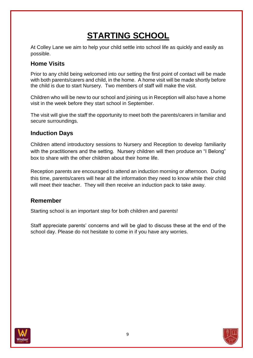# **STARTING SCHOOL**

At Colley Lane we aim to help your child settle into school life as quickly and easily as possible.

### **Home Visits**

Prior to any child being welcomed into our setting the first point of contact will be made with both parents/carers and child, in the home. A home visit will be made shortly before the child is due to start Nursery. Two members of staff will make the visit.

Children who will be new to our school and joining us in Reception will also have a home visit in the week before they start school in September.

The visit will give the staff the opportunity to meet both the parents/carers in familiar and secure surroundings.

### **Induction Days**

Children attend introductory sessions to Nursery and Reception to develop familiarity with the practitioners and the setting. Nursery children will then produce an "I Belong" box to share with the other children about their home life.

Reception parents are encouraged to attend an induction morning or afternoon. During this time, parents/carers will hear all the information they need to know while their child will meet their teacher. They will then receive an induction pack to take away.

### **Remember**

Starting school is an important step for both children and parents!

Staff appreciate parents' concerns and will be glad to discuss these at the end of the school day. Please do not hesitate to come in if you have any worries.



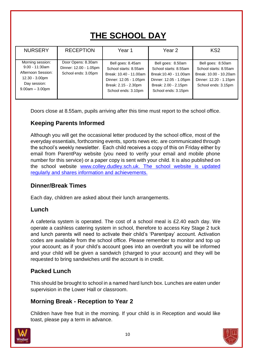# **THE SCHOOL DAY**

| <b>NURSERY</b>                                                                                                       | <b>RECEPTION</b>                                                    | Year 1                                                                                                                                        | Year <sub>2</sub>                                                                                                                             | KS <sub>2</sub>                                                                                                       |
|----------------------------------------------------------------------------------------------------------------------|---------------------------------------------------------------------|-----------------------------------------------------------------------------------------------------------------------------------------------|-----------------------------------------------------------------------------------------------------------------------------------------------|-----------------------------------------------------------------------------------------------------------------------|
| Morning session:<br>$9.00 - 11:30$ am<br>Afternoon Session:<br>$12.30 - 3.00pm$<br>Day session:<br>$9.00am - 3.00pm$ | Door Opens: 8.30am<br>Dinner: 12.00 - 1.05pm<br>School ends: 3.05pm | Bell goes: 8.45am<br>School starts: 8.55am<br>Break: 10.40 - 11.00am<br>Dinner: 12.05 - 1.05pm<br>Break: 2.15 - 2.30pm<br>School ends: 3.10pm | Bell goes: 8.50am<br>School starts: 8.55am<br>Break: 10.40 - 11.00am<br>Dinner: 12.05 - 1.05pm<br>Break: 2.00 - 2.15pm<br>School ends: 3.15pm | Bell goes: 8.50am<br>School starts: 8.55am<br>Break: 10.00 - 10.20am<br>Dinner: 12.20 - 1.15pm<br>School ends: 3.15pm |

Doors close at 8.55am, pupils arriving after this time must report to the school office.

### **Keeping Parents Informed**

Although you will get the occasional letter produced by the school office, most of the everyday essentials, forthcoming events, sports news etc. are communicated through the school's weekly newsletter. Each child receives a copy of this on Friday either by email from ParentPay website (you need to verify your email and mobile phone number for this service) or a paper copy is sent with your child. It is also published on the school website [www.colley.dudley.sch.uk.](https://colley.dudley.sch.uk/) The school website is updated regularly and shares information and achievements.

#### **Dinner/Break Times**

Each day, children are asked about their lunch arrangements.

#### **Lunch**

A cafeteria system is operated. The cost of a school meal is £2.40 each day. We operate a cashless catering system in school, therefore to access Key Stage 2 tuck and lunch parents will need to activate their child's 'Parentpay' account. Activation codes are available from the school office. Please remember to monitor and top up your account; as if your child's account goes into an overdraft you will be informed and your child will be given a sandwich (charged to your account) and they will be requested to bring sandwiches until the account is in credit.

### **Packed Lunch**

This should be brought to school in a named hard lunch box. Lunches are eaten under supervision in the Lower Hall or classroom.

#### **Morning Break - Reception to Year 2**

Children have free fruit in the morning. If your child is in Reception and would like toast, please pay a term in advance.



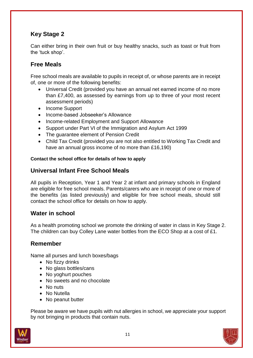## **Key Stage 2**

Can either bring in their own fruit or buy healthy snacks, such as toast or fruit from the 'tuck shop'.

### **Free Meals**

Free school meals are available to pupils in receipt of, or whose parents are in receipt of, one or more of the following benefits:

- Universal Credit (provided you have an annual net earned income of no more than £7,400, as assessed by earnings from up to three of your most recent assessment periods)
- Income Support
- Income-based Jobseeker's Allowance
- Income-related Employment and Support Allowance
- Support under Part VI of the Immigration and Asylum Act 1999
- The guarantee element of Pension Credit
- Child Tax Credit (provided you are not also entitled to Working Tax Credit and have an annual gross income of no more than £16,190)

#### **Contact the school office for details of how to apply**

#### **Universal Infant Free School Meals**

All pupils in Reception, Year 1 and Year 2 at infant and primary schools in England are eligible for free school meals. Parents/carers who are in receipt of one or more of the benefits (as listed previously) and eligible for free school meals, should still contact the school office for details on how to apply.

#### **Water in school**

As a health promoting school we promote the drinking of water in class in Key Stage 2. The children can buy Colley Lane water bottles from the ECO Shop at a cost of £1.

#### **Remember**

Name all purses and lunch boxes/bags

- No fizzy drinks
- No glass bottles/cans
- No yoghurt pouches
- No sweets and no chocolate
- No nuts
- No Nutella
- No peanut butter

Please be aware we have pupils with nut allergies in school, we appreciate your support by not bringing in products that contain nuts.

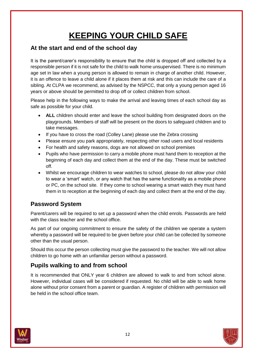# **KEEPING YOUR CHILD SAFE**

#### **At the start and end of the school day**

It is the parent/carer's responsibility to ensure that the child is dropped off and collected by a responsible person if it is not safe for the child to walk home unsupervised. There is no minimum age set in law when a young person is allowed to remain in charge of another child. However, it is an offence to leave a child alone if it places them at risk and this can include the care of a sibling. At CLPA we recommend, as advised by the NSPCC, that only a young person aged 16 years or above should be permitted to drop off or collect children from school.

Please help in the following ways to make the arrival and leaving times of each school day as safe as possible for your child.

- **ALL** children should enter and leave the school building from designated doors on the playgrounds. Members of staff will be present on the doors to safeguard children and to take messages.
- If you have to cross the road (Colley Lane) please use the Zebra crossing
- Please ensure you park appropriately, respecting other road users and local residents
- For health and safety reasons, dogs are not allowed on school premises
- Pupils who have permission to carry a mobile phone must hand them to reception at the beginning of each day and collect them at the end of the day. These must be switched off.
- Whilst we encourage children to wear watches to school, please do not allow your child to wear a 'smart' watch, or any watch that has the same functionality as a mobile phone or PC, on the school site. If they come to school wearing a smart watch they must hand them in to reception at the beginning of each day and collect them at the end of the day.

# **Password System**

Parent/carers will be required to set up a password when the child enrols. Passwords are held with the class teacher and the school office.

As part of our ongoing commitment to ensure the safety of the children we operate a system whereby a password will be required to be given before your child can be collected by someone other than the usual person.

Should this occur the person collecting must give the password to the teacher. We will not allow children to go home with an unfamiliar person without a password.

# **Pupils walking to and from school**

It is recommended that ONLY year 6 children are allowed to walk to and from school alone. However, individual cases will be considered if requested. No child will be able to walk home alone without prior consent from a parent or guardian. A register of children with permission will be held in the school office team.



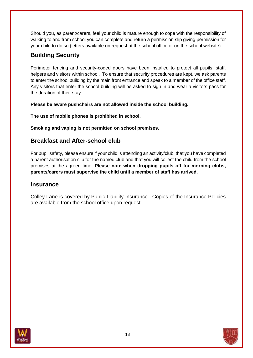Should you, as parent/carers, feel your child is mature enough to cope with the responsibility of walking to and from school you can complete and return a permission slip giving permission for your child to do so (letters available on request at the school office or on the school website).

## **Building Security**

Perimeter fencing and security-coded doors have been installed to protect all pupils, staff, helpers and visitors within school. To ensure that security procedures are kept, we ask parents to enter the school building by the main front entrance and speak to a member of the office staff. Any visitors that enter the school building will be asked to sign in and wear a visitors pass for the duration of their stay.

**Please be aware pushchairs are not allowed inside the school building.**

**The use of mobile phones is prohibited in school.**

**Smoking and vaping is not permitted on school premises.**

#### **Breakfast and After-school club**

For pupil safety, please ensure if your child is attending an activity/club, that you have completed a parent authorisation slip for the named club and that you will collect the child from the school premises at the agreed time. **Please note when dropping pupils off for morning clubs, parents/carers must supervise the child until a member of staff has arrived.**

#### **Insurance**

Colley Lane is covered by Public Liability Insurance. Copies of the Insurance Policies are available from the school office upon request.



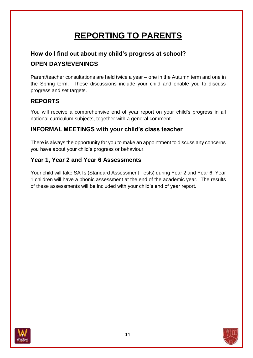# **REPORTING TO PARENTS**

# **How do I find out about my child's progress at school? OPEN DAYS/EVENINGS**

Parent/teacher consultations are held twice a year – one in the Autumn term and one in the Spring term. These discussions include your child and enable you to discuss progress and set targets.

# **REPORTS**

You will receive a comprehensive end of year report on your child's progress in all national curriculum subjects, together with a general comment.

### **INFORMAL MEETINGS with your child's class teacher**

There is always the opportunity for you to make an appointment to discuss any concerns you have about your child's progress or behaviour.

### **Year 1, Year 2 and Year 6 Assessments**

Your child will take SATs (Standard Assessment Tests) during Year 2 and Year 6. Year 1 children will have a phonic assessment at the end of the academic year. The results of these assessments will be included with your child's end of year report.



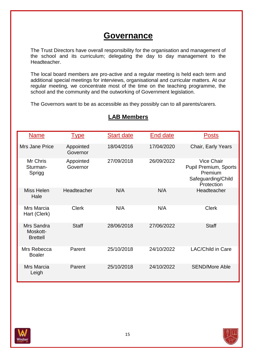# **Governance**

The Trust Directors have overall responsibility for the organisation and management of the school and its curriculum; delegating the day to day management to the Headteacher.

The local board members are pro-active and a regular meeting is held each term and additional special meetings for interviews, organisational and curricular matters. At our regular meeting, we concentrate most of the time on the teaching programme, the school and the community and the outworking of Government legislation.

The Governors want to be as accessible as they possibly can to all parents/carers.

| <b>Name</b>                               | <u>Type</u>           | <b>Start date</b> | End date   | <b>Posts</b>                                                                                     |
|-------------------------------------------|-----------------------|-------------------|------------|--------------------------------------------------------------------------------------------------|
| <b>Mrs Jane Price</b>                     | Appointed<br>Governor | 18/04/2016        | 17/04/2020 | Chair, Early Years                                                                               |
| Mr Chris<br>Sturman-<br>Sprigg            | Appointed<br>Governor | 27/09/2018        | 26/09/2022 | <b>Vice Chair</b><br><b>Pupil Premium, Sports</b><br>Premium<br>Safeguarding/Child<br>Protection |
| Miss Helen<br>Hale                        | Headteacher           | N/A               | N/A        | Headteacher                                                                                      |
| Mrs Marcia<br>Hart (Clerk)                | <b>Clerk</b>          | N/A               | N/A        | <b>Clerk</b>                                                                                     |
| Mrs Sandra<br>Moskott-<br><b>Brettell</b> | <b>Staff</b>          | 28/06/2018        | 27/06/2022 | <b>Staff</b>                                                                                     |
| Mrs Rebecca<br><b>Boaler</b>              | Parent                | 25/10/2018        | 24/10/2022 | <b>LAC/Child in Care</b>                                                                         |
| <b>Mrs Marcia</b><br>Leigh                | Parent                | 25/10/2018        | 24/10/2022 | <b>SEND/More Able</b>                                                                            |

# **LAB Members**



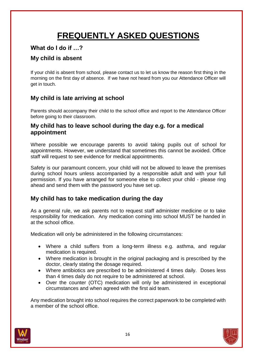# **FREQUENTLY ASKED QUESTIONS**

### **What do I do if …?**

### **My child is absent**

If your child is absent from school, please contact us to let us know the reason first thing in the morning on the first day of absence. If we have not heard from you our Attendance Officer will get in touch.

### **My child is late arriving at school**

Parents should accompany their child to the school office and report to the Attendance Officer before going to their classroom.

#### **My child has to leave school during the day e.g. for a medical appointment**

Where possible we encourage parents to avoid taking pupils out of school for appointments. However, we understand that sometimes this cannot be avoided. Office staff will request to see evidence for medical appointments.

Safety is our paramount concern, your child will not be allowed to leave the premises during school hours unless accompanied by a responsible adult and with your full permission. If you have arranged for someone else to collect your child - please ring ahead and send them with the password you have set up.

#### **My child has to take medication during the day**

As a general rule, we ask parents not to request staff administer medicine or to take responsibility for medication. Any medication coming into school MUST be handed in at the school office.

Medication will only be administered in the following circumstances:

- Where a child suffers from a long-term illness e.g. asthma, and regular medication is required.
- Where medication is brought in the original packaging and is prescribed by the doctor, clearly stating the dosage required.
- Where antibiotics are prescribed to be administered 4 times daily. Doses less than 4 times daily do not require to be administered at school.
- Over the counter (OTC) medication will only be administered in exceptional circumstances and when agreed with the first aid team.

Any medication brought into school requires the correct paperwork to be completed with a member of the school office.



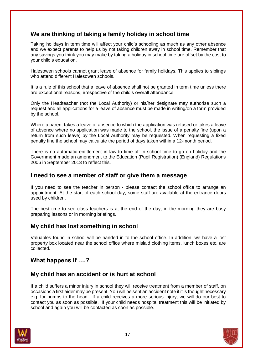### **We are thinking of taking a family holiday in school time**

Taking holidays in term time will affect your child's schooling as much as any other absence and we expect parents to help us by not taking children away in school time. Remember that any savings you think you may make by taking a holiday in school time are offset by the cost to your child's education.

Halesowen schools cannot grant leave of absence for family holidays. This applies to siblings who attend different Halesowen schools.

It is a rule of this school that a leave of absence shall not be granted in term time unless there are exceptional reasons, irrespective of the child's overall attendance.

Only the Headteacher (not the Local Authority) or his/her designate may authorise such a request and all applications for a leave of absence must be made in writing/on a form provided by the school.

Where a parent takes a leave of absence to which the application was refused or takes a leave of absence where no application was made to the school, the issue of a penalty fine (upon a return from such leave) by the Local Authority may be requested. When requesting a fixed penalty fine the school may calculate the period of days taken within a 12-month period.

There is no automatic entitlement in law to time off in school time to go on holiday and the Government made an amendment to the Education (Pupil Registration) (England) Regulations 2006 in September 2013 to reflect this.

#### **I need to see a member of staff or give them a message**

If you need to see the teacher in person - please contact the school office to arrange an appointment. At the start of each school day, some staff are available at the entrance doors used by children.

The best time to see class teachers is at the end of the day, in the morning they are busy preparing lessons or in morning briefings.

#### **My child has lost something in school**

Valuables found in school will be handed in to the school office. In addition, we have a lost property box located near the school office where mislaid clothing items, lunch boxes etc. are collected.

#### **What happens if ….?**

#### **My child has an accident or is hurt at school**

If a child suffers a minor injury in school they will receive treatment from a member of staff, on occasions a first aider may be present. You will be sent an accident note if it is thought necessary e.g. for bumps to the head. If a child receives a more serious injury, we will do our best to contact you as soon as possible. If your child needs hospital treatment this will be initiated by school and again you will be contacted as soon as possible.

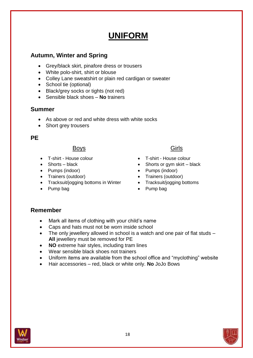# **UNIFORM**

### **Autumn, Winter and Spring**

- Grey/black skirt, pinafore dress or trousers
- White polo-shirt, shirt or blouse
- Colley Lane sweatshirt or plain red cardigan or sweater
- School tie (optional)
- Black/grey socks or tights (not red)
- Sensible black shoes **No** trainers

#### **Summer**

- As above or red and white dress with white socks
- Short grey trousers

#### **PE**

#### Boys **Girls**

- T-shirt House colour
- Shorts black
- Pumps (indoor)
- Trainers (outdoor)
- Tracksuit/jogging bottoms in Winter
- Pump bag

- T-shirt House colour
- $\bullet$  Shorts or gym skirt black
- Pumps (indoor)
- Trainers (outdoor)
- Tracksuit/jogging bottoms
- Pump bag

#### **Remember**

- Mark all items of clothing with your child's name
- Caps and hats must not be worn inside school
- The only jewellery allowed in school is a watch and one pair of flat studs **All** jewellery must be removed for PE
- **NO** extreme hair styles, including tram lines
- Wear sensible black shoes not trainers
- Uniform items are available from the school office and "myclothing" website
- Hair accessories red, black or white only. **No** JoJo Bows

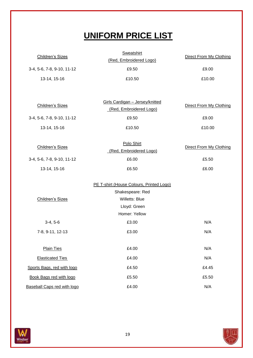# **UNIFORM PRICE LIST**

| <b>Children's Sizes</b>            | <b>Sweatshirt</b><br>(Red, Embroidered Logo)                                                          | Direct From My Clothing        |
|------------------------------------|-------------------------------------------------------------------------------------------------------|--------------------------------|
| 3-4, 5-6, 7-8, 9-10, 11-12         | £9.50                                                                                                 | £9.00                          |
| 13-14, 15-16                       | £10.50                                                                                                | £10.00                         |
|                                    |                                                                                                       |                                |
| Children's Sizes                   | Girls Cardigan - Jersey/knitted<br>(Red, Embroidered Logo)                                            | Direct From My Clothing        |
| 3-4, 5-6, 7-8, 9-10, 11-12         | £9.50                                                                                                 | £9.00                          |
| 13-14, 15-16                       | £10.50                                                                                                | £10.00                         |
| Children's Sizes                   | Polo Shirt<br>(Red, Embroidered Logo)                                                                 | <b>Direct From My Clothing</b> |
| 3-4, 5-6, 7-8, 9-10, 11-12         | £6.00                                                                                                 | £5.50                          |
| 13-14, 15-16                       | £6.50                                                                                                 | £6.00                          |
| Children's Sizes                   | PE T-shirt (House Colours, Printed Logo)<br>Shakespeare: Red<br><b>Willetts: Blue</b><br>Lloyd: Green |                                |
|                                    | Homer: Yellow                                                                                         |                                |
| $3-4, 5-6$                         | £3.00                                                                                                 | N/A                            |
| 7-8, 9-11, 12-13                   | £3.00                                                                                                 | N/A                            |
| <b>Plain Ties</b>                  | £4.00                                                                                                 | N/A                            |
| <b>Elasticated Ties</b>            | £4.00                                                                                                 | N/A                            |
| Sports Bags, red with logo         | £4.50                                                                                                 | £4.45                          |
| Book Bags red with logo            | £5.50                                                                                                 | £5.50                          |
| <b>Baseball Caps red with logo</b> | £4.00                                                                                                 | N/A                            |